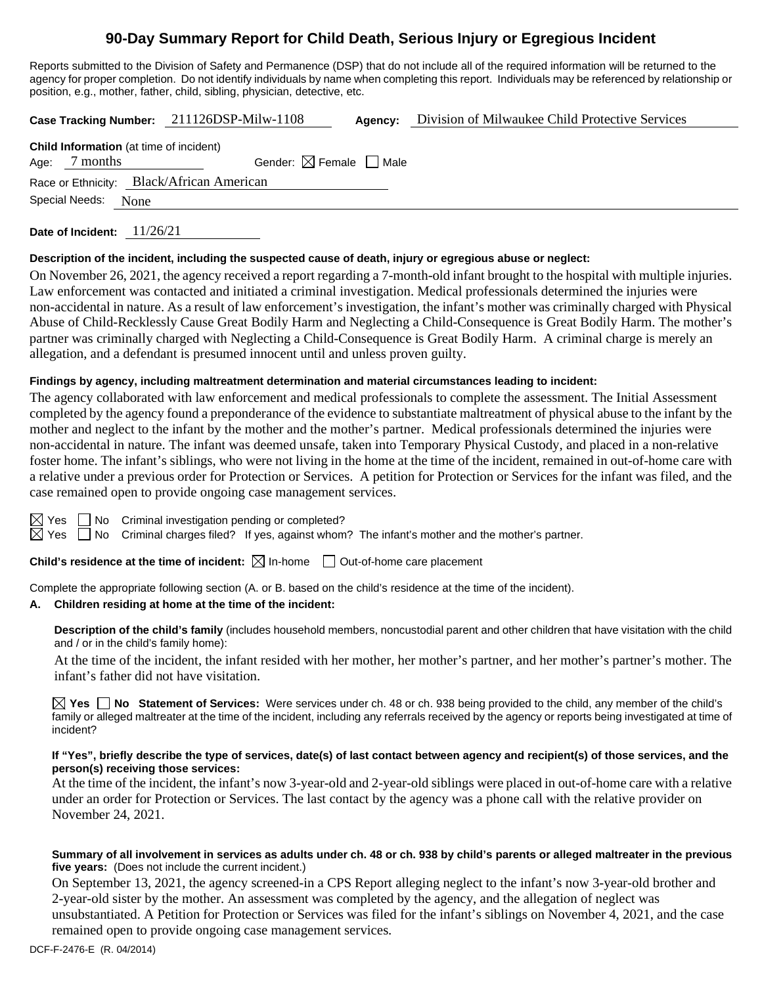# **90-Day Summary Report for Child Death, Serious Injury or Egregious Incident**

Reports submitted to the Division of Safety and Permanence (DSP) that do not include all of the required information will be returned to the agency for proper completion. Do not identify individuals by name when completing this report. Individuals may be referenced by relationship or position, e.g., mother, father, child, sibling, physician, detective, etc.

**Case Tracking Number:** 211126DSP-Milw-1108 **Agency:** Division of Milwaukee Child Protective Services

| <b>Child Information</b> (at time of incident) |                     |                                        |  |  |  |  |  |  |
|------------------------------------------------|---------------------|----------------------------------------|--|--|--|--|--|--|
|                                                | Age: 7 months       | Gender: $\boxtimes$ Female $\Box$ Male |  |  |  |  |  |  |
| Race or Ethnicity: Black/African American      |                     |                                        |  |  |  |  |  |  |
|                                                | Special Needs: None |                                        |  |  |  |  |  |  |

**Date of Incident:** 11/26/21

# **Description of the incident, including the suspected cause of death, injury or egregious abuse or neglect:**

On November 26, 2021, the agency received a report regarding a 7-month-old infant brought to the hospital with multiple injuries. Law enforcement was contacted and initiated a criminal investigation. Medical professionals determined the injuries were non-accidental in nature. As a result of law enforcement's investigation, the infant's mother was criminally charged with Physical Abuse of Child-Recklessly Cause Great Bodily Harm and Neglecting a Child-Consequence is Great Bodily Harm. The mother's partner was criminally charged with Neglecting a Child-Consequence is Great Bodily Harm. A criminal charge is merely an allegation, and a defendant is presumed innocent until and unless proven guilty.

# **Findings by agency, including maltreatment determination and material circumstances leading to incident:**

The agency collaborated with law enforcement and medical professionals to complete the assessment. The Initial Assessment completed by the agency found a preponderance of the evidence to substantiate maltreatment of physical abuse to the infant by the mother and neglect to the infant by the mother and the mother's partner. Medical professionals determined the injuries were non-accidental in nature. The infant was deemed unsafe, taken into Temporary Physical Custody, and placed in a non-relative foster home. The infant's siblings, who were not living in the home at the time of the incident, remained in out-of-home care with a relative under a previous order for Protection or Services. A petition for Protection or Services for the infant was filed, and the case remained open to provide ongoing case management services.

| ⇙  | Y<br>⊷ |  |
|----|--------|--|
| IX | ٧      |  |

 $\Box$  No Criminal investigation pending or completed?

 $\Box$  No Criminal charges filed? If yes, against whom? The infant's mother and the mother's partner.

**Child's residence at the time of incident:**  $\boxtimes$  In-home  $\Box$  Out-of-home care placement

Complete the appropriate following section (A. or B. based on the child's residence at the time of the incident).

# **A. Children residing at home at the time of the incident:**

**Description of the child's family** (includes household members, noncustodial parent and other children that have visitation with the child and / or in the child's family home):

At the time of the incident, the infant resided with her mother, her mother's partner, and her mother's partner's mother. The infant's father did not have visitation.

**Yes No Statement of Services:** Were services under ch. 48 or ch. 938 being provided to the child, any member of the child's family or alleged maltreater at the time of the incident, including any referrals received by the agency or reports being investigated at time of incident?

#### **If "Yes", briefly describe the type of services, date(s) of last contact between agency and recipient(s) of those services, and the person(s) receiving those services:**

At the time of the incident, the infant's now 3-year-old and 2-year-old siblings were placed in out-of-home care with a relative under an order for Protection or Services. The last contact by the agency was a phone call with the relative provider on November 24, 2021.

## **Summary of all involvement in services as adults under ch. 48 or ch. 938 by child's parents or alleged maltreater in the previous five years:** (Does not include the current incident.)

On September 13, 2021, the agency screened-in a CPS Report alleging neglect to the infant's now 3-year-old brother and 2-year-old sister by the mother. An assessment was completed by the agency, and the allegation of neglect was unsubstantiated. A Petition for Protection or Services was filed for the infant's siblings on November 4, 2021, and the case remained open to provide ongoing case management services.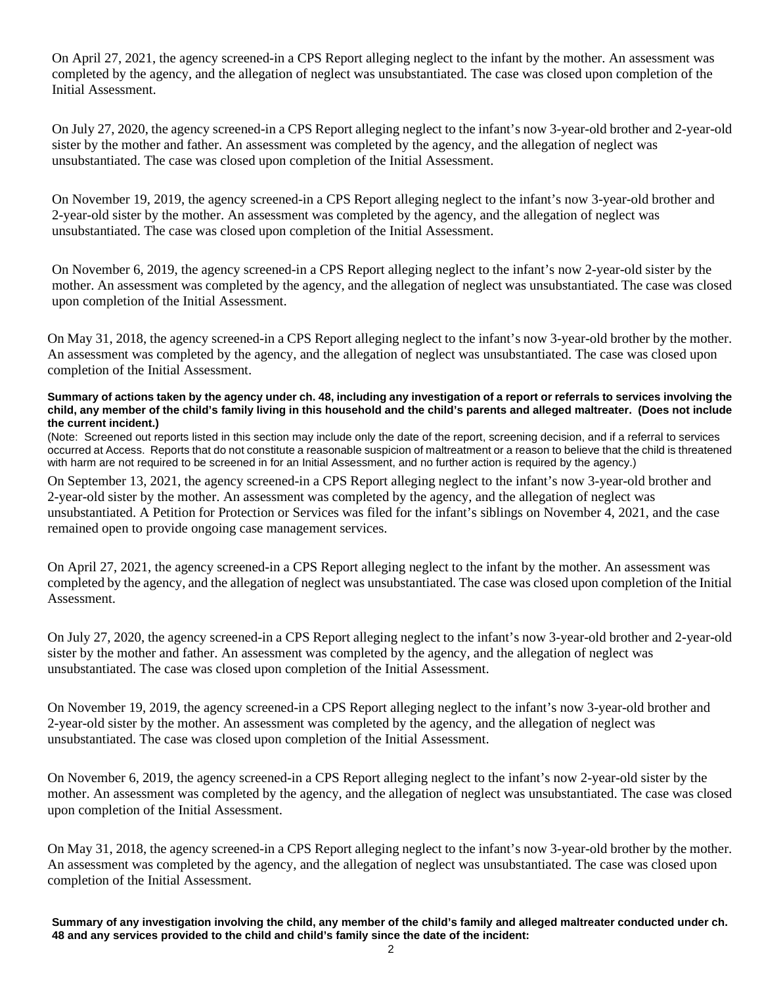On April 27, 2021, the agency screened-in a CPS Report alleging neglect to the infant by the mother. An assessment was completed by the agency, and the allegation of neglect was unsubstantiated. The case was closed upon completion of the Initial Assessment.

On July 27, 2020, the agency screened-in a CPS Report alleging neglect to the infant's now 3-year-old brother and 2-year-old sister by the mother and father. An assessment was completed by the agency, and the allegation of neglect was unsubstantiated. The case was closed upon completion of the Initial Assessment.

On November 19, 2019, the agency screened-in a CPS Report alleging neglect to the infant's now 3-year-old brother and 2-year-old sister by the mother. An assessment was completed by the agency, and the allegation of neglect was unsubstantiated. The case was closed upon completion of the Initial Assessment.

On November 6, 2019, the agency screened-in a CPS Report alleging neglect to the infant's now 2-year-old sister by the mother. An assessment was completed by the agency, and the allegation of neglect was unsubstantiated. The case was closed upon completion of the Initial Assessment.

On May 31, 2018, the agency screened-in a CPS Report alleging neglect to the infant's now 3-year-old brother by the mother. An assessment was completed by the agency, and the allegation of neglect was unsubstantiated. The case was closed upon completion of the Initial Assessment.

#### **Summary of actions taken by the agency under ch. 48, including any investigation of a report or referrals to services involving the child, any member of the child's family living in this household and the child's parents and alleged maltreater. (Does not include the current incident.)**

(Note: Screened out reports listed in this section may include only the date of the report, screening decision, and if a referral to services occurred at Access. Reports that do not constitute a reasonable suspicion of maltreatment or a reason to believe that the child is threatened with harm are not required to be screened in for an Initial Assessment, and no further action is required by the agency.)

On September 13, 2021, the agency screened-in a CPS Report alleging neglect to the infant's now 3-year-old brother and 2-year-old sister by the mother. An assessment was completed by the agency, and the allegation of neglect was unsubstantiated. A Petition for Protection or Services was filed for the infant's siblings on November 4, 2021, and the case remained open to provide ongoing case management services.

On April 27, 2021, the agency screened-in a CPS Report alleging neglect to the infant by the mother. An assessment was completed by the agency, and the allegation of neglect was unsubstantiated. The case was closed upon completion of the Initial Assessment.

On July 27, 2020, the agency screened-in a CPS Report alleging neglect to the infant's now 3-year-old brother and 2-year-old sister by the mother and father. An assessment was completed by the agency, and the allegation of neglect was unsubstantiated. The case was closed upon completion of the Initial Assessment.

On November 19, 2019, the agency screened-in a CPS Report alleging neglect to the infant's now 3-year-old brother and 2-year-old sister by the mother. An assessment was completed by the agency, and the allegation of neglect was unsubstantiated. The case was closed upon completion of the Initial Assessment.

On November 6, 2019, the agency screened-in a CPS Report alleging neglect to the infant's now 2-year-old sister by the mother. An assessment was completed by the agency, and the allegation of neglect was unsubstantiated. The case was closed upon completion of the Initial Assessment.

On May 31, 2018, the agency screened-in a CPS Report alleging neglect to the infant's now 3-year-old brother by the mother. An assessment was completed by the agency, and the allegation of neglect was unsubstantiated. The case was closed upon completion of the Initial Assessment.

**Summary of any investigation involving the child, any member of the child's family and alleged maltreater conducted under ch. 48 and any services provided to the child and child's family since the date of the incident:**